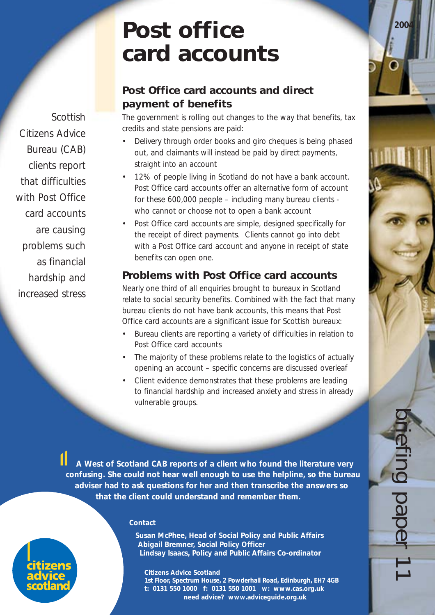briefing paper 11

# **Post office card accounts**

# **Post Office card accounts and direct payment of benefits**

The government is rolling out changes to the way that benefits, tax credits and state pensions are paid:

- Delivery through order books and giro cheques is being phased out, and claimants will instead be paid by direct payments, straight into an account
- 12% of people living in Scotland do not have a bank account. Post Office card accounts offer an alternative form of account for these 600,000 people – including many bureau clients who cannot or choose not to open a bank account
- Post Office card accounts are simple, designed specifically for the receipt of direct payments. Clients cannot go into debt with a Post Office card account and anyone in receipt of state benefits can open one.

# **Problems with Post Office card accounts**

Nearly one third of all enquiries brought to bureaux in Scotland relate to social security benefits. Combined with the fact that many bureau clients do not have bank accounts, this means that Post Office card accounts are a significant issue for Scottish bureaux:

- Bureau clients are reporting a variety of difficulties in relation to Post Office card accounts
- The majority of these problems relate to the logistics of actually opening an account – specific concerns are discussed overleaf
- Client evidence demonstrates that these problems are leading to financial hardship and increased anxiety and stress in already vulnerable groups.

*A West of Scotland CAB reports of a client who found the literature very confusing. She could not hear well enough to use the helpline, so the bureau adviser had to ask questions for her and then transcribe the answers so that the client could understand and remember them.*

#### **Contact**

**Susan McPhee, Head of Social Policy and Public Affairs Abigail Bremner, Social Policy Officer Lindsay Isaacs, Policy and Public Affairs Co-ordinator**

**Citizens Advice Scotland 1st Floor, Spectrum House, 2 Powderhall Road, Edinburgh, EH7 4GB t: 0131 550 1000 f: 0131 550 1001 w: www.cas.org.uk need advice? www.adviceguide.org.uk**

Scottish Citizens Advice Bureau (CAB) clients report that difficulties with Post Office card accounts are causing problems such as financial hardship and increased stress